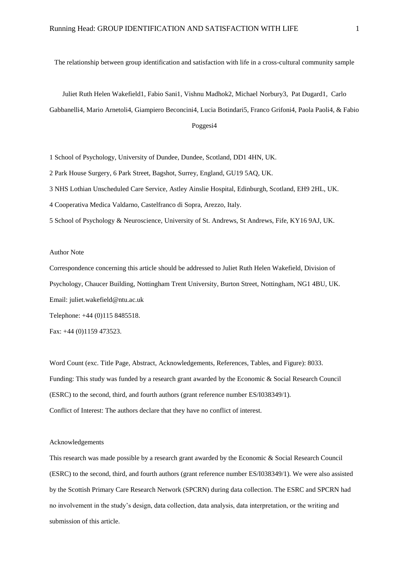The relationship between group identification and satisfaction with life in a cross-cultural community sample

Juliet Ruth Helen Wakefield1, Fabio Sani1, Vishnu Madhok2, Michael Norbury3, Pat Dugard1, Carlo Gabbanelli4, Mario Arnetoli4, Giampiero Beconcini4, Lucia Botindari5, Franco Grifoni4, Paola Paoli4, & Fabio

Poggesi4

1 School of Psychology, University of Dundee, Dundee, Scotland, DD1 4HN, UK.

2 Park House Surgery, 6 Park Street, Bagshot, Surrey, England, GU19 5AQ, UK.

3 NHS Lothian Unscheduled Care Service, Astley Ainslie Hospital, Edinburgh, Scotland, EH9 2HL, UK.

4 Cooperativa Medica Valdarno, Castelfranco di Sopra, Arezzo, Italy.

5 School of Psychology & Neuroscience, University of St. Andrews, St Andrews, Fife, KY16 9AJ, UK.

#### Author Note

Correspondence concerning this article should be addressed to Juliet Ruth Helen Wakefield, Division of Psychology, Chaucer Building, Nottingham Trent University, Burton Street, Nottingham, NG1 4BU, UK. Email: juliet.wakefield@ntu.ac.uk Telephone: +44 (0)115 8485518.

Fax: +44 (0)1159 473523.

Word Count (exc. Title Page, Abstract, Acknowledgements, References, Tables, and Figure): 8033. Funding: This study was funded by a research grant awarded by the Economic & Social Research Council (ESRC) to the second, third, and fourth authors (grant reference number ES/I038349/1). Conflict of Interest: The authors declare that they have no conflict of interest.

#### Acknowledgements

This research was made possible by a research grant awarded by the Economic & Social Research Council (ESRC) to the second, third, and fourth authors (grant reference number ES/I038349/1). We were also assisted by the Scottish Primary Care Research Network (SPCRN) during data collection. The ESRC and SPCRN had no involvement in the study's design, data collection, data analysis, data interpretation, or the writing and submission of this article.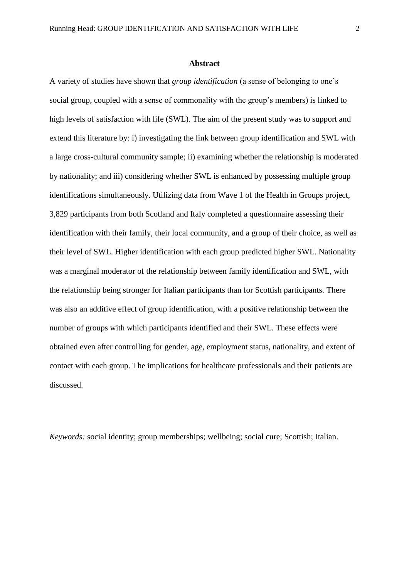#### **Abstract**

A variety of studies have shown that *group identification* (a sense of belonging to one's social group, coupled with a sense of commonality with the group's members) is linked to high levels of satisfaction with life (SWL). The aim of the present study was to support and extend this literature by: i) investigating the link between group identification and SWL with a large cross-cultural community sample; ii) examining whether the relationship is moderated by nationality; and iii) considering whether SWL is enhanced by possessing multiple group identifications simultaneously. Utilizing data from Wave 1 of the Health in Groups project, 3,829 participants from both Scotland and Italy completed a questionnaire assessing their identification with their family, their local community, and a group of their choice, as well as their level of SWL. Higher identification with each group predicted higher SWL. Nationality was a marginal moderator of the relationship between family identification and SWL, with the relationship being stronger for Italian participants than for Scottish participants. There was also an additive effect of group identification, with a positive relationship between the number of groups with which participants identified and their SWL. These effects were obtained even after controlling for gender, age, employment status, nationality, and extent of contact with each group. The implications for healthcare professionals and their patients are discussed.

*Keywords:* social identity; group memberships; wellbeing; social cure; Scottish; Italian.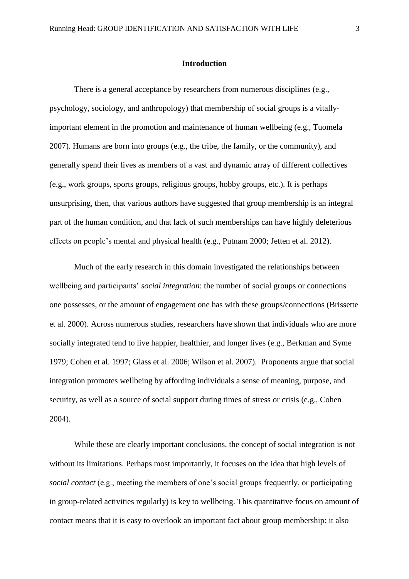### **Introduction**

There is a general acceptance by researchers from numerous disciplines (e.g., psychology, sociology, and anthropology) that membership of social groups is a vitallyimportant element in the promotion and maintenance of human wellbeing (e.g., Tuomela 2007). Humans are born into groups (e.g., the tribe, the family, or the community), and generally spend their lives as members of a vast and dynamic array of different collectives (e.g., work groups, sports groups, religious groups, hobby groups, etc.). It is perhaps unsurprising, then, that various authors have suggested that group membership is an integral part of the human condition, and that lack of such memberships can have highly deleterious effects on people's mental and physical health (e.g., Putnam 2000; Jetten et al. 2012).

Much of the early research in this domain investigated the relationships between wellbeing and participants' *social integration*: the number of social groups or connections one possesses, or the amount of engagement one has with these groups/connections (Brissette et al. 2000). Across numerous studies, researchers have shown that individuals who are more socially integrated tend to live happier, healthier, and longer lives (e.g., Berkman and Syme 1979; Cohen et al. 1997; Glass et al. 2006; Wilson et al. 2007). Proponents argue that social integration promotes wellbeing by affording individuals a sense of meaning, purpose, and security, as well as a source of social support during times of stress or crisis (e.g., Cohen 2004).

While these are clearly important conclusions, the concept of social integration is not without its limitations. Perhaps most importantly, it focuses on the idea that high levels of *social contact* (e.g., meeting the members of one's social groups frequently, or participating in group-related activities regularly) is key to wellbeing. This quantitative focus on amount of contact means that it is easy to overlook an important fact about group membership: it also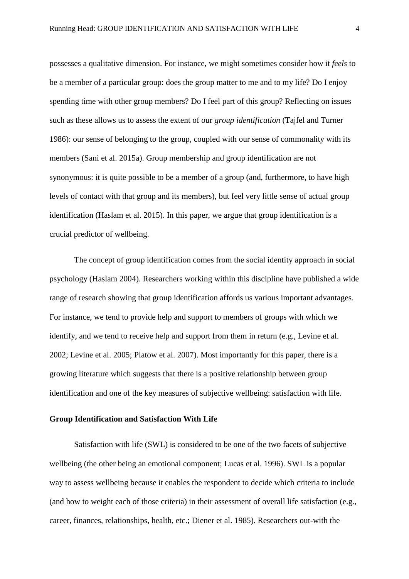possesses a qualitative dimension. For instance, we might sometimes consider how it *feels* to be a member of a particular group: does the group matter to me and to my life? Do I enjoy spending time with other group members? Do I feel part of this group? Reflecting on issues such as these allows us to assess the extent of our *group identification* (Tajfel and Turner 1986): our sense of belonging to the group, coupled with our sense of commonality with its members (Sani et al. 2015a). Group membership and group identification are not synonymous: it is quite possible to be a member of a group (and, furthermore, to have high levels of contact with that group and its members), but feel very little sense of actual group identification (Haslam et al. 2015). In this paper, we argue that group identification is a crucial predictor of wellbeing.

The concept of group identification comes from the social identity approach in social psychology (Haslam 2004). Researchers working within this discipline have published a wide range of research showing that group identification affords us various important advantages. For instance, we tend to provide help and support to members of groups with which we identify, and we tend to receive help and support from them in return (e.g., Levine et al. 2002; Levine et al. 2005; Platow et al. 2007). Most importantly for this paper, there is a growing literature which suggests that there is a positive relationship between group identification and one of the key measures of subjective wellbeing: satisfaction with life.

## **Group Identification and Satisfaction With Life**

Satisfaction with life (SWL) is considered to be one of the two facets of subjective wellbeing (the other being an emotional component; Lucas et al. 1996). SWL is a popular way to assess wellbeing because it enables the respondent to decide which criteria to include (and how to weight each of those criteria) in their assessment of overall life satisfaction (e.g., career, finances, relationships, health, etc.; Diener et al. 1985). Researchers out-with the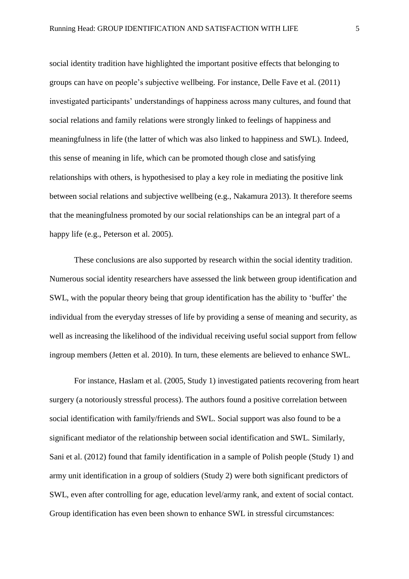social identity tradition have highlighted the important positive effects that belonging to groups can have on people's subjective wellbeing. For instance, Delle Fave et al. (2011) investigated participants' understandings of happiness across many cultures, and found that social relations and family relations were strongly linked to feelings of happiness and meaningfulness in life (the latter of which was also linked to happiness and SWL). Indeed, this sense of meaning in life, which can be promoted though close and satisfying relationships with others, is hypothesised to play a key role in mediating the positive link between social relations and subjective wellbeing (e.g., Nakamura 2013). It therefore seems that the meaningfulness promoted by our social relationships can be an integral part of a happy life (e.g., Peterson et al. 2005).

These conclusions are also supported by research within the social identity tradition. Numerous social identity researchers have assessed the link between group identification and SWL, with the popular theory being that group identification has the ability to 'buffer' the individual from the everyday stresses of life by providing a sense of meaning and security, as well as increasing the likelihood of the individual receiving useful social support from fellow ingroup members (Jetten et al. 2010). In turn, these elements are believed to enhance SWL.

For instance, Haslam et al. (2005, Study 1) investigated patients recovering from heart surgery (a notoriously stressful process). The authors found a positive correlation between social identification with family/friends and SWL. Social support was also found to be a significant mediator of the relationship between social identification and SWL. Similarly, Sani et al. (2012) found that family identification in a sample of Polish people (Study 1) and army unit identification in a group of soldiers (Study 2) were both significant predictors of SWL, even after controlling for age, education level/army rank, and extent of social contact. Group identification has even been shown to enhance SWL in stressful circumstances: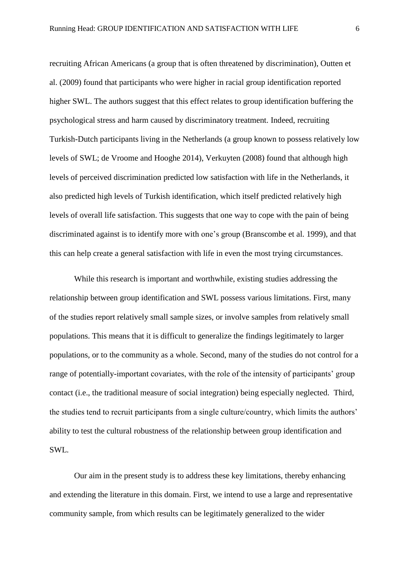recruiting African Americans (a group that is often threatened by discrimination), Outten et al. (2009) found that participants who were higher in racial group identification reported higher SWL. The authors suggest that this effect relates to group identification buffering the psychological stress and harm caused by discriminatory treatment. Indeed, recruiting Turkish-Dutch participants living in the Netherlands (a group known to possess relatively low levels of SWL; de Vroome and Hooghe 2014), Verkuyten (2008) found that although high levels of perceived discrimination predicted low satisfaction with life in the Netherlands, it also predicted high levels of Turkish identification, which itself predicted relatively high levels of overall life satisfaction. This suggests that one way to cope with the pain of being discriminated against is to identify more with one's group (Branscombe et al. 1999), and that this can help create a general satisfaction with life in even the most trying circumstances.

While this research is important and worthwhile, existing studies addressing the relationship between group identification and SWL possess various limitations. First, many of the studies report relatively small sample sizes, or involve samples from relatively small populations. This means that it is difficult to generalize the findings legitimately to larger populations, or to the community as a whole. Second, many of the studies do not control for a range of potentially-important covariates, with the role of the intensity of participants' group contact (i.e., the traditional measure of social integration) being especially neglected. Third, the studies tend to recruit participants from a single culture/country, which limits the authors' ability to test the cultural robustness of the relationship between group identification and SWL.

Our aim in the present study is to address these key limitations, thereby enhancing and extending the literature in this domain. First, we intend to use a large and representative community sample, from which results can be legitimately generalized to the wider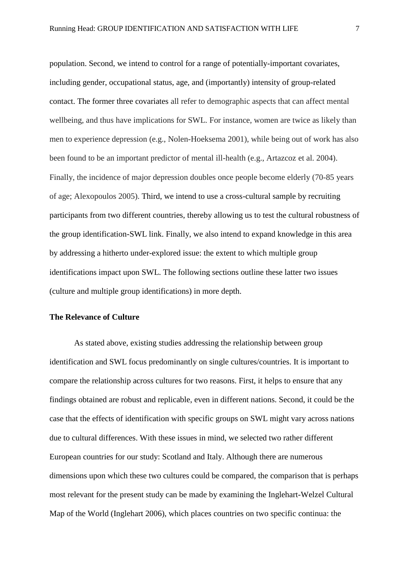population. Second, we intend to control for a range of potentially-important covariates, including gender, occupational status, age, and (importantly) intensity of group-related contact. The former three covariates all refer to demographic aspects that can affect mental wellbeing, and thus have implications for SWL. For instance, women are twice as likely than men to experience depression (e.g., Nolen-Hoeksema 2001), while being out of work has also been found to be an important predictor of mental ill-health (e.g., Artazcoz et al. 2004). Finally, the incidence of major depression doubles once people become elderly (70-85 years of age; Alexopoulos 2005). Third, we intend to use a cross-cultural sample by recruiting participants from two different countries, thereby allowing us to test the cultural robustness of the group identification-SWL link. Finally, we also intend to expand knowledge in this area by addressing a hitherto under-explored issue: the extent to which multiple group identifications impact upon SWL. The following sections outline these latter two issues (culture and multiple group identifications) in more depth.

# **The Relevance of Culture**

As stated above, existing studies addressing the relationship between group identification and SWL focus predominantly on single cultures/countries. It is important to compare the relationship across cultures for two reasons. First, it helps to ensure that any findings obtained are robust and replicable, even in different nations. Second, it could be the case that the effects of identification with specific groups on SWL might vary across nations due to cultural differences. With these issues in mind, we selected two rather different European countries for our study: Scotland and Italy. Although there are numerous dimensions upon which these two cultures could be compared, the comparison that is perhaps most relevant for the present study can be made by examining the Inglehart-Welzel Cultural Map of the World (Inglehart 2006), which places countries on two specific continua: the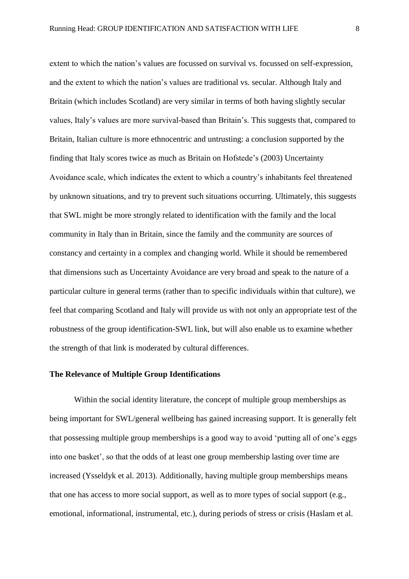extent to which the nation's values are focussed on survival vs. focussed on self-expression, and the extent to which the nation's values are traditional vs. secular. Although Italy and Britain (which includes Scotland) are very similar in terms of both having slightly secular values, Italy's values are more survival-based than Britain's. This suggests that, compared to Britain, Italian culture is more ethnocentric and untrusting: a conclusion supported by the finding that Italy scores twice as much as Britain on Hofstede's (2003) Uncertainty Avoidance scale, which indicates the extent to which a country's inhabitants feel threatened by unknown situations, and try to prevent such situations occurring. Ultimately, this suggests that SWL might be more strongly related to identification with the family and the local community in Italy than in Britain, since the family and the community are sources of constancy and certainty in a complex and changing world. While it should be remembered that dimensions such as Uncertainty Avoidance are very broad and speak to the nature of a particular culture in general terms (rather than to specific individuals within that culture), we feel that comparing Scotland and Italy will provide us with not only an appropriate test of the robustness of the group identification-SWL link, but will also enable us to examine whether the strength of that link is moderated by cultural differences.

# **The Relevance of Multiple Group Identifications**

Within the social identity literature, the concept of multiple group memberships as being important for SWL/general wellbeing has gained increasing support. It is generally felt that possessing multiple group memberships is a good way to avoid 'putting all of one's eggs into one basket', so that the odds of at least one group membership lasting over time are increased (Ysseldyk et al. 2013). Additionally, having multiple group memberships means that one has access to more social support, as well as to more types of social support (e.g., emotional, informational, instrumental, etc.), during periods of stress or crisis (Haslam et al.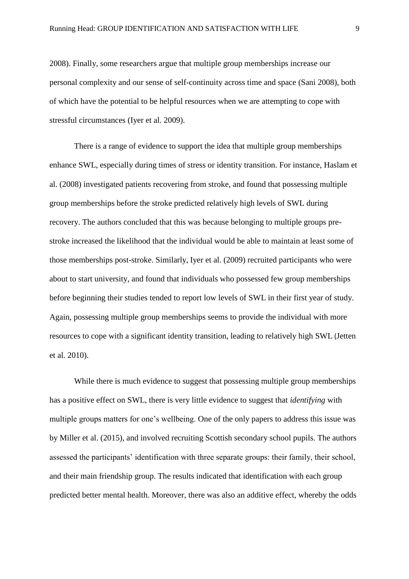2008). Finally, some researchers argue that multiple group memberships increase our personal complexity and our sense of self-continuity across time and space (Sani 2008), both of which have the potential to be helpful resources when we are attempting to cope with stressful circumstances (Iyer et al. 2009).

There is a range of evidence to support the idea that multiple group memberships enhance SWL, especially during times of stress or identity transition. For instance, Haslam et al. (2008) investigated patients recovering from stroke, and found that possessing multiple group memberships before the stroke predicted relatively high levels of SWL during recovery. The authors concluded that this was because belonging to multiple groups prestroke increased the likelihood that the individual would be able to maintain at least some of those memberships post-stroke. Similarly, Iyer et al. (2009) recruited participants who were about to start university, and found that individuals who possessed few group memberships before beginning their studies tended to report low levels of SWL in their first year of study. Again, possessing multiple group memberships seems to provide the individual with more resources to cope with a significant identity transition, leading to relatively high SWL (Jetten et al. 2010).

While there is much evidence to suggest that possessing multiple group memberships has a positive effect on SWL, there is very little evidence to suggest that *identifying* with multiple groups matters for one's wellbeing. One of the only papers to address this issue was by Miller et al. (2015), and involved recruiting Scottish secondary school pupils. The authors assessed the participants' identification with three separate groups: their family, their school, and their main friendship group. The results indicated that identification with each group predicted better mental health. Moreover, there was also an additive effect, whereby the odds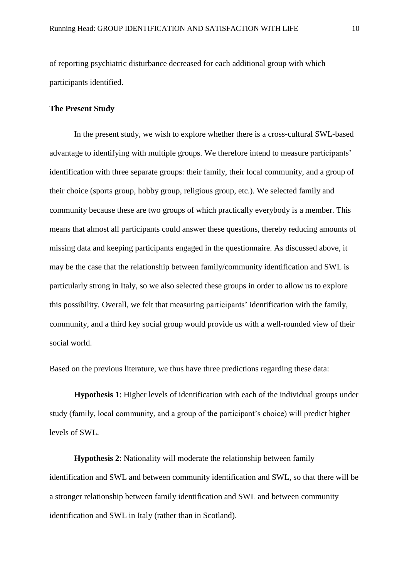of reporting psychiatric disturbance decreased for each additional group with which participants identified.

## **The Present Study**

In the present study, we wish to explore whether there is a cross-cultural SWL-based advantage to identifying with multiple groups. We therefore intend to measure participants' identification with three separate groups: their family, their local community, and a group of their choice (sports group, hobby group, religious group, etc.). We selected family and community because these are two groups of which practically everybody is a member. This means that almost all participants could answer these questions, thereby reducing amounts of missing data and keeping participants engaged in the questionnaire. As discussed above, it may be the case that the relationship between family/community identification and SWL is particularly strong in Italy, so we also selected these groups in order to allow us to explore this possibility. Overall, we felt that measuring participants' identification with the family, community, and a third key social group would provide us with a well-rounded view of their social world.

Based on the previous literature, we thus have three predictions regarding these data:

**Hypothesis 1**: Higher levels of identification with each of the individual groups under study (family, local community, and a group of the participant's choice) will predict higher levels of SWL.

**Hypothesis 2**: Nationality will moderate the relationship between family identification and SWL and between community identification and SWL, so that there will be a stronger relationship between family identification and SWL and between community identification and SWL in Italy (rather than in Scotland).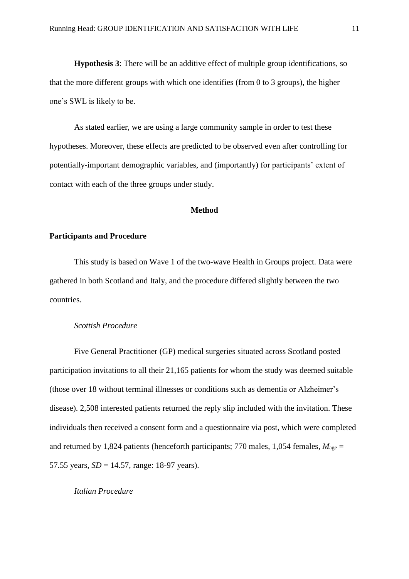**Hypothesis 3**: There will be an additive effect of multiple group identifications, so that the more different groups with which one identifies (from 0 to 3 groups), the higher one's SWL is likely to be.

As stated earlier, we are using a large community sample in order to test these hypotheses. Moreover, these effects are predicted to be observed even after controlling for potentially-important demographic variables, and (importantly) for participants' extent of contact with each of the three groups under study.

# **Method**

#### **Participants and Procedure**

This study is based on Wave 1 of the two-wave Health in Groups project. Data were gathered in both Scotland and Italy, and the procedure differed slightly between the two countries.

## *Scottish Procedure*

Five General Practitioner (GP) medical surgeries situated across Scotland posted participation invitations to all their 21,165 patients for whom the study was deemed suitable (those over 18 without terminal illnesses or conditions such as dementia or Alzheimer's disease). 2,508 interested patients returned the reply slip included with the invitation. These individuals then received a consent form and a questionnaire via post, which were completed and returned by 1,824 patients (henceforth participants; 770 males, 1,054 females,  $M_{\text{age}} =$ 57.55 years,  $SD = 14.57$ , range: 18-97 years).

### *Italian Procedure*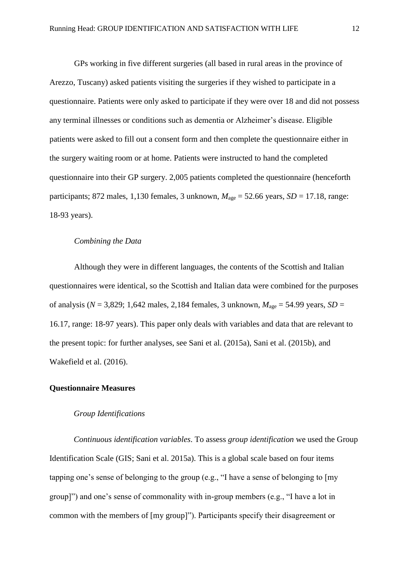GPs working in five different surgeries (all based in rural areas in the province of Arezzo, Tuscany) asked patients visiting the surgeries if they wished to participate in a questionnaire. Patients were only asked to participate if they were over 18 and did not possess any terminal illnesses or conditions such as dementia or Alzheimer's disease. Eligible patients were asked to fill out a consent form and then complete the questionnaire either in the surgery waiting room or at home. Patients were instructed to hand the completed questionnaire into their GP surgery. 2,005 patients completed the questionnaire (henceforth participants; 872 males, 1,130 females, 3 unknown,  $M_{\text{age}} = 52.66$  years,  $SD = 17.18$ , range: 18-93 years).

# *Combining the Data*

Although they were in different languages, the contents of the Scottish and Italian questionnaires were identical, so the Scottish and Italian data were combined for the purposes of analysis (*N* = 3,829; 1,642 males, 2,184 females, 3 unknown, *M*age = 54.99 years, *SD* = 16.17, range: 18-97 years). This paper only deals with variables and data that are relevant to the present topic: for further analyses, see Sani et al. (2015a), Sani et al. (2015b), and Wakefield et al. (2016).

# **Questionnaire Measures**

#### *Group Identifications*

*Continuous identification variables*. To assess *group identification* we used the Group Identification Scale (GIS; Sani et al. 2015a). This is a global scale based on four items tapping one's sense of belonging to the group (e.g., "I have a sense of belonging to [my group]") and one's sense of commonality with in-group members (e.g., "I have a lot in common with the members of [my group]"). Participants specify their disagreement or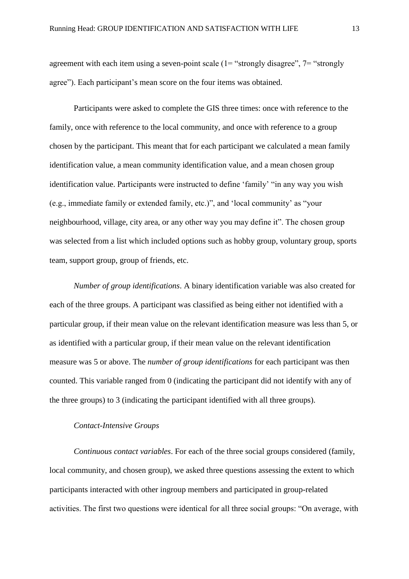agreement with each item using a seven-point scale  $(1=$  "strongly disagree",  $7=$  "strongly agree"). Each participant's mean score on the four items was obtained.

Participants were asked to complete the GIS three times: once with reference to the family, once with reference to the local community, and once with reference to a group chosen by the participant. This meant that for each participant we calculated a mean family identification value, a mean community identification value, and a mean chosen group identification value. Participants were instructed to define 'family' "in any way you wish (e.g., immediate family or extended family, etc.)", and 'local community' as "your neighbourhood, village, city area, or any other way you may define it". The chosen group was selected from a list which included options such as hobby group, voluntary group, sports team, support group, group of friends, etc.

*Number of group identifications*. A binary identification variable was also created for each of the three groups. A participant was classified as being either not identified with a particular group, if their mean value on the relevant identification measure was less than 5, or as identified with a particular group, if their mean value on the relevant identification measure was 5 or above. The *number of group identifications* for each participant was then counted. This variable ranged from 0 (indicating the participant did not identify with any of the three groups) to 3 (indicating the participant identified with all three groups).

# *Contact-Intensive Groups*

*Continuous contact variables*. For each of the three social groups considered (family, local community, and chosen group), we asked three questions assessing the extent to which participants interacted with other ingroup members and participated in group-related activities. The first two questions were identical for all three social groups: "On average, with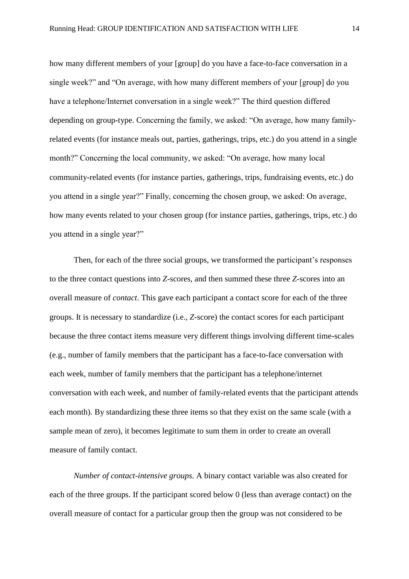how many different members of your [group] do you have a face-to-face conversation in a single week?" and "On average, with how many different members of your [group] do you have a telephone/Internet conversation in a single week?" The third question differed depending on group-type. Concerning the family, we asked: "On average, how many familyrelated events (for instance meals out, parties, gatherings, trips, etc.) do you attend in a single month?" Concerning the local community, we asked: "On average, how many local community-related events (for instance parties, gatherings, trips, fundraising events, etc.) do you attend in a single year?" Finally, concerning the chosen group, we asked: On average, how many events related to your chosen group (for instance parties, gatherings, trips, etc.) do you attend in a single year?"

Then, for each of the three social groups, we transformed the participant's responses to the three contact questions into *Z*-scores, and then summed these three *Z*-scores into an overall measure of *contact*. This gave each participant a contact score for each of the three groups. It is necessary to standardize (i.e., *Z*-score) the contact scores for each participant because the three contact items measure very different things involving different time-scales (e.g., number of family members that the participant has a face-to-face conversation with each week, number of family members that the participant has a telephone/internet conversation with each week, and number of family-related events that the participant attends each month). By standardizing these three items so that they exist on the same scale (with a sample mean of zero), it becomes legitimate to sum them in order to create an overall measure of family contact.

*Number of contact-intensive groups*. A binary contact variable was also created for each of the three groups. If the participant scored below 0 (less than average contact) on the overall measure of contact for a particular group then the group was not considered to be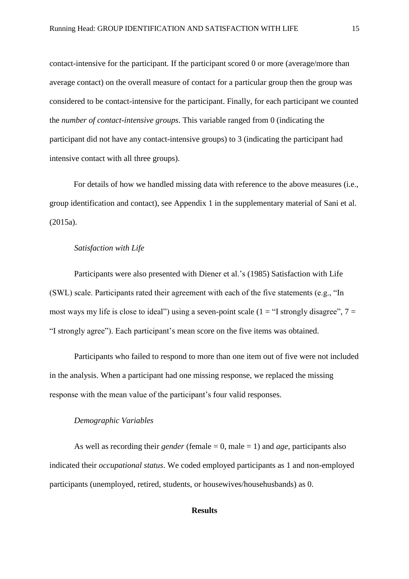contact-intensive for the participant. If the participant scored 0 or more (average/more than average contact) on the overall measure of contact for a particular group then the group was considered to be contact-intensive for the participant. Finally, for each participant we counted the *number of contact-intensive groups*. This variable ranged from 0 (indicating the participant did not have any contact-intensive groups) to 3 (indicating the participant had intensive contact with all three groups).

For details of how we handled missing data with reference to the above measures (i.e., group identification and contact), see Appendix 1 in the supplementary material of Sani et al. (2015a).

#### *Satisfaction with Life*

Participants were also presented with Diener et al.'s (1985) Satisfaction with Life (SWL) scale. Participants rated their agreement with each of the five statements (e.g., "In most ways my life is close to ideal") using a seven-point scale ( $1 =$ "I strongly disagree",  $7 =$ "I strongly agree"). Each participant's mean score on the five items was obtained.

Participants who failed to respond to more than one item out of five were not included in the analysis. When a participant had one missing response, we replaced the missing response with the mean value of the participant's four valid responses.

#### *Demographic Variables*

As well as recording their *gender* (female = 0, male = 1) and *age*, participants also indicated their *occupational status*. We coded employed participants as 1 and non-employed participants (unemployed, retired, students, or housewives/househusbands) as 0.

# **Results**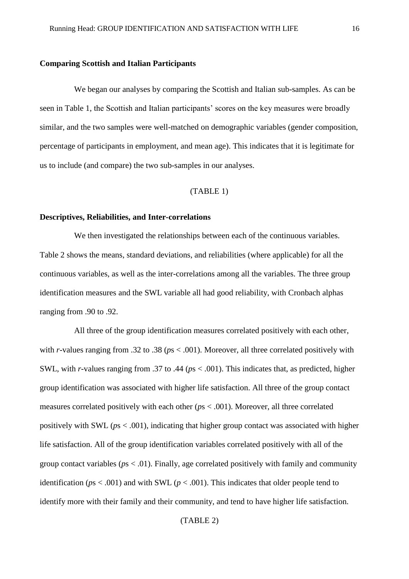### **Comparing Scottish and Italian Participants**

We began our analyses by comparing the Scottish and Italian sub-samples. As can be seen in Table 1, the Scottish and Italian participants' scores on the key measures were broadly similar, and the two samples were well-matched on demographic variables (gender composition, percentage of participants in employment, and mean age). This indicates that it is legitimate for us to include (and compare) the two sub-samples in our analyses.

### (TABLE 1)

#### **Descriptives, Reliabilities, and Inter-correlations**

We then investigated the relationships between each of the continuous variables. Table 2 shows the means, standard deviations, and reliabilities (where applicable) for all the continuous variables, as well as the inter-correlations among all the variables. The three group identification measures and the SWL variable all had good reliability, with Cronbach alphas ranging from .90 to .92.

All three of the group identification measures correlated positively with each other, with *r*-values ranging from .32 to .38 ( $ps < .001$ ). Moreover, all three correlated positively with SWL, with *r*-values ranging from .37 to .44 (*p*s < .001). This indicates that, as predicted, higher group identification was associated with higher life satisfaction. All three of the group contact measures correlated positively with each other (*p*s < .001). Moreover, all three correlated positively with SWL (*p*s < .001), indicating that higher group contact was associated with higher life satisfaction. All of the group identification variables correlated positively with all of the group contact variables ( $ps < .01$ ). Finally, age correlated positively with family and community identification ( $ps < .001$ ) and with SWL ( $p < .001$ ). This indicates that older people tend to identify more with their family and their community, and tend to have higher life satisfaction.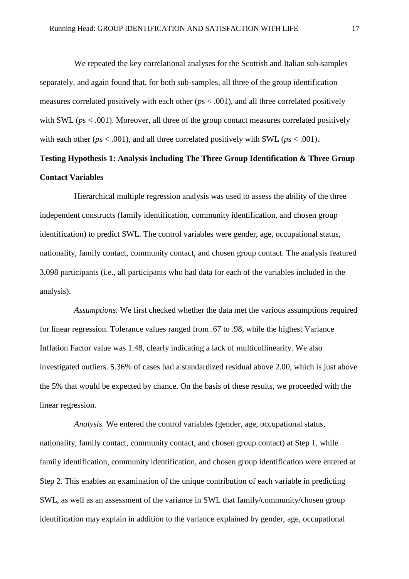We repeated the key correlational analyses for the Scottish and Italian sub-samples separately, and again found that, for both sub-samples, all three of the group identification measures correlated positively with each other ( $ps < .001$ ), and all three correlated positively with SWL ( $ps < .001$ ). Moreover, all three of the group contact measures correlated positively with each other ( $ps < .001$ ), and all three correlated positively with SWL ( $ps < .001$ ).

# **Testing Hypothesis 1: Analysis Including The Three Group Identification & Three Group Contact Variables**

Hierarchical multiple regression analysis was used to assess the ability of the three independent constructs (family identification, community identification, and chosen group identification) to predict SWL. The control variables were gender, age, occupational status, nationality, family contact, community contact, and chosen group contact. The analysis featured 3,098 participants (i.e., all participants who had data for each of the variables included in the analysis).

*Assumptions.* We first checked whether the data met the various assumptions required for linear regression. Tolerance values ranged from .67 to .98, while the highest Variance Inflation Factor value was 1.48, clearly indicating a lack of multicollinearity. We also investigated outliers. 5.36% of cases had a standardized residual above 2.00, which is just above the 5% that would be expected by chance. On the basis of these results, we proceeded with the linear regression.

*Analysis.* We entered the control variables (gender, age, occupational status, nationality, family contact, community contact, and chosen group contact) at Step 1, while family identification, community identification, and chosen group identification were entered at Step 2. This enables an examination of the unique contribution of each variable in predicting SWL, as well as an assessment of the variance in SWL that family/community/chosen group identification may explain in addition to the variance explained by gender, age, occupational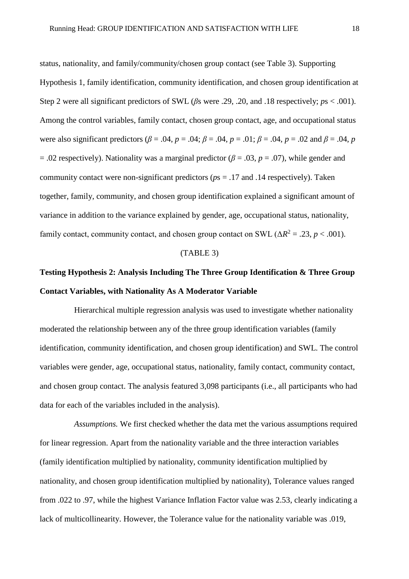status, nationality, and family/community/chosen group contact (see Table 3). Supporting Hypothesis 1, family identification, community identification, and chosen group identification at Step 2 were all significant predictors of SWL (*β*s were .29, .20, and .18 respectively; *p*s < .001). Among the control variables, family contact, chosen group contact, age, and occupational status were also significant predictors ( $\beta$  = .04,  $p$  = .04;  $\beta$  = .04,  $p$  = .01;  $\beta$  = .04,  $p$  = .02 and  $\beta$  = .04,  $p$ = .02 respectively). Nationality was a marginal predictor (*β* = .03, *p* = .07), while gender and community contact were non-significant predictors (*p*s = .17 and .14 respectively). Taken together, family, community, and chosen group identification explained a significant amount of variance in addition to the variance explained by gender, age, occupational status, nationality, family contact, community contact, and chosen group contact on SWL ( $\Delta R^2 = .23$ ,  $p < .001$ ).

#### (TABLE 3)

# **Testing Hypothesis 2: Analysis Including The Three Group Identification & Three Group Contact Variables, with Nationality As A Moderator Variable**

Hierarchical multiple regression analysis was used to investigate whether nationality moderated the relationship between any of the three group identification variables (family identification, community identification, and chosen group identification) and SWL. The control variables were gender, age, occupational status, nationality, family contact, community contact, and chosen group contact. The analysis featured 3,098 participants (i.e., all participants who had data for each of the variables included in the analysis).

*Assumptions.* We first checked whether the data met the various assumptions required for linear regression. Apart from the nationality variable and the three interaction variables (family identification multiplied by nationality, community identification multiplied by nationality, and chosen group identification multiplied by nationality), Tolerance values ranged from .022 to .97, while the highest Variance Inflation Factor value was 2.53, clearly indicating a lack of multicollinearity. However, the Tolerance value for the nationality variable was .019,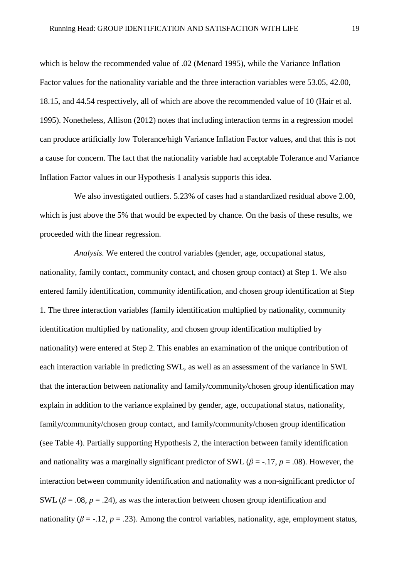which is below the recommended value of .02 (Menard 1995), while the Variance Inflation Factor values for the nationality variable and the three interaction variables were 53.05, 42.00, 18.15, and 44.54 respectively, all of which are above the recommended value of 10 (Hair et al. 1995). Nonetheless, Allison (2012) notes that including interaction terms in a regression model can produce artificially low Tolerance/high Variance Inflation Factor values, and that this is not a cause for concern. The fact that the nationality variable had acceptable Tolerance and Variance Inflation Factor values in our Hypothesis 1 analysis supports this idea.

We also investigated outliers. 5.23% of cases had a standardized residual above 2.00, which is just above the 5% that would be expected by chance. On the basis of these results, we proceeded with the linear regression.

*Analysis.* We entered the control variables (gender, age, occupational status, nationality, family contact, community contact, and chosen group contact) at Step 1. We also entered family identification, community identification, and chosen group identification at Step 1. The three interaction variables (family identification multiplied by nationality, community identification multiplied by nationality, and chosen group identification multiplied by nationality) were entered at Step 2. This enables an examination of the unique contribution of each interaction variable in predicting SWL, as well as an assessment of the variance in SWL that the interaction between nationality and family/community/chosen group identification may explain in addition to the variance explained by gender, age, occupational status, nationality, family/community/chosen group contact, and family/community/chosen group identification (see Table 4). Partially supporting Hypothesis 2, the interaction between family identification and nationality was a marginally significant predictor of SWL ( $\beta$  = -.17,  $p$  = .08). However, the interaction between community identification and nationality was a non-significant predictor of SWL ( $\beta$  = .08,  $p = .24$ ), as was the interaction between chosen group identification and nationality ( $\beta$  = -.12,  $p = .23$ ). Among the control variables, nationality, age, employment status,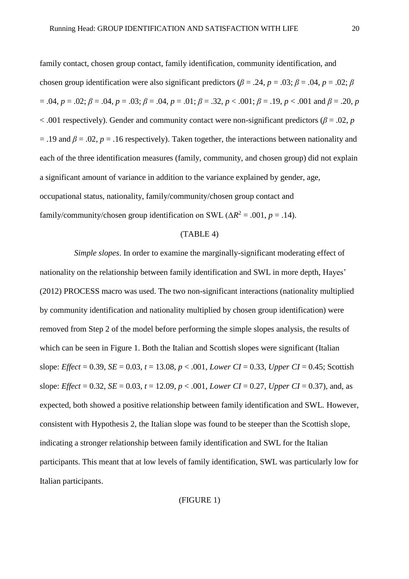family contact, chosen group contact, family identification, community identification, and chosen group identification were also significant predictors ( $\beta = .24$ ,  $p = .03$ ;  $\beta = .04$ ,  $p = .02$ ;  $\beta$  $= .04, p = .02; \beta = .04, p = .03; \beta = .04, p = .01; \beta = .32, p < .001; \beta = .19, p < .001$  and  $\beta = .20, p$  $\leq$  .001 respectively). Gender and community contact were non-significant predictors ( $\beta$  = .02, *p*)  $=$  .19 and  $\beta$  = .02,  $p = 0.16$  respectively). Taken together, the interactions between nationality and each of the three identification measures (family, community, and chosen group) did not explain a significant amount of variance in addition to the variance explained by gender, age, occupational status, nationality, family/community/chosen group contact and family/community/chosen group identification on SWL ( $\Delta R^2$  = .001, *p* = .14).

### (TABLE 4)

*Simple slopes*. In order to examine the marginally-significant moderating effect of nationality on the relationship between family identification and SWL in more depth, Hayes' (2012) PROCESS macro was used. The two non-significant interactions (nationality multiplied by community identification and nationality multiplied by chosen group identification) were removed from Step 2 of the model before performing the simple slopes analysis, the results of which can be seen in Figure 1. Both the Italian and Scottish slopes were significant (Italian slope: *Effect* = 0.39, *SE* = 0.03, *t* = 13.08, *p* < .001, *Lower CI* = 0.33, *Upper CI* = 0.45; Scottish slope: *Effect* = 0.32, *SE* = 0.03, *t* = 12.09, *p* < .001, *Lower CI* = 0.27, *Upper CI* = 0.37), and, as expected, both showed a positive relationship between family identification and SWL. However, consistent with Hypothesis 2, the Italian slope was found to be steeper than the Scottish slope, indicating a stronger relationship between family identification and SWL for the Italian participants. This meant that at low levels of family identification, SWL was particularly low for Italian participants.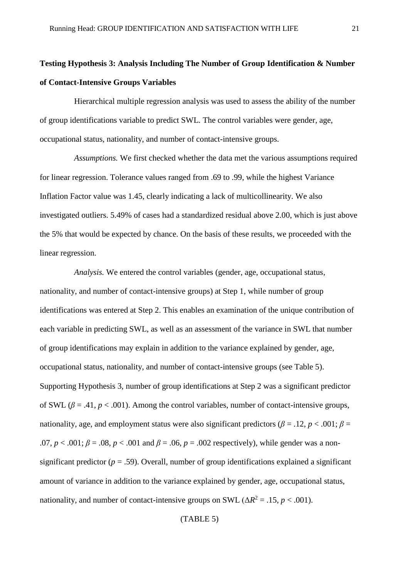# **Testing Hypothesis 3: Analysis Including The Number of Group Identification & Number of Contact-Intensive Groups Variables**

Hierarchical multiple regression analysis was used to assess the ability of the number of group identifications variable to predict SWL. The control variables were gender, age, occupational status, nationality, and number of contact-intensive groups.

*Assumptions.* We first checked whether the data met the various assumptions required for linear regression. Tolerance values ranged from .69 to .99, while the highest Variance Inflation Factor value was 1.45, clearly indicating a lack of multicollinearity. We also investigated outliers. 5.49% of cases had a standardized residual above 2.00, which is just above the 5% that would be expected by chance. On the basis of these results, we proceeded with the linear regression.

*Analysis.* We entered the control variables (gender, age, occupational status, nationality, and number of contact-intensive groups) at Step 1, while number of group identifications was entered at Step 2. This enables an examination of the unique contribution of each variable in predicting SWL, as well as an assessment of the variance in SWL that number of group identifications may explain in addition to the variance explained by gender, age, occupational status, nationality, and number of contact-intensive groups (see Table 5). Supporting Hypothesis 3, number of group identifications at Step 2 was a significant predictor of SWL ( $\beta$  = .41,  $p < .001$ ). Among the control variables, number of contact-intensive groups, nationality, age, and employment status were also significant predictors ( $\beta = .12$ ,  $p < .001$ ;  $\beta =$ .07,  $p < .001$ ;  $\beta = .08$ ,  $p < .001$  and  $\beta = .06$ ,  $p = .002$  respectively), while gender was a nonsignificant predictor  $(p = .59)$ . Overall, number of group identifications explained a significant amount of variance in addition to the variance explained by gender, age, occupational status, nationality, and number of contact-intensive groups on SWL ( $\Delta R^2 = .15$ ,  $p < .001$ ).

(TABLE 5)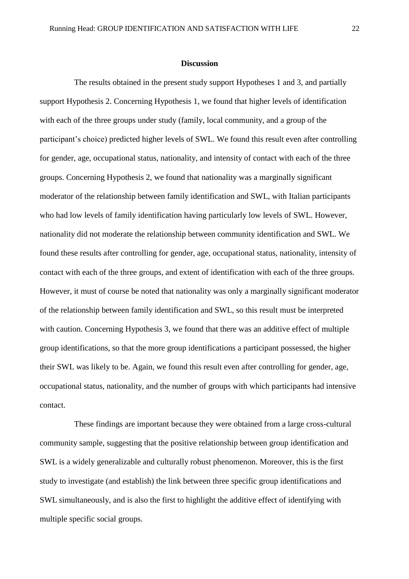#### **Discussion**

The results obtained in the present study support Hypotheses 1 and 3, and partially support Hypothesis 2. Concerning Hypothesis 1, we found that higher levels of identification with each of the three groups under study (family, local community, and a group of the participant's choice) predicted higher levels of SWL. We found this result even after controlling for gender, age, occupational status, nationality, and intensity of contact with each of the three groups. Concerning Hypothesis 2, we found that nationality was a marginally significant moderator of the relationship between family identification and SWL, with Italian participants who had low levels of family identification having particularly low levels of SWL. However, nationality did not moderate the relationship between community identification and SWL. We found these results after controlling for gender, age, occupational status, nationality, intensity of contact with each of the three groups, and extent of identification with each of the three groups. However, it must of course be noted that nationality was only a marginally significant moderator of the relationship between family identification and SWL, so this result must be interpreted with caution. Concerning Hypothesis 3, we found that there was an additive effect of multiple group identifications, so that the more group identifications a participant possessed, the higher their SWL was likely to be. Again, we found this result even after controlling for gender, age, occupational status, nationality, and the number of groups with which participants had intensive contact.

These findings are important because they were obtained from a large cross-cultural community sample, suggesting that the positive relationship between group identification and SWL is a widely generalizable and culturally robust phenomenon. Moreover, this is the first study to investigate (and establish) the link between three specific group identifications and SWL simultaneously, and is also the first to highlight the additive effect of identifying with multiple specific social groups.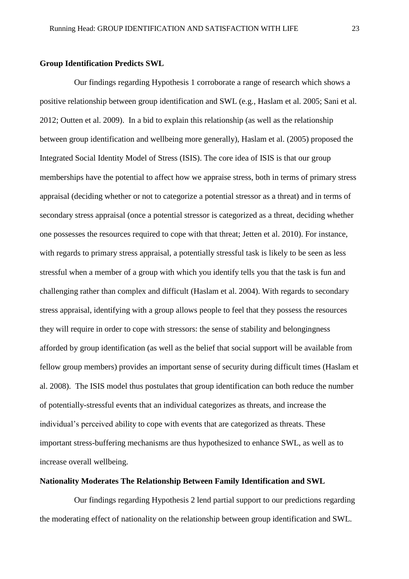#### **Group Identification Predicts SWL**

Our findings regarding Hypothesis 1 corroborate a range of research which shows a positive relationship between group identification and SWL (e.g., Haslam et al. 2005; Sani et al. 2012; Outten et al. 2009). In a bid to explain this relationship (as well as the relationship between group identification and wellbeing more generally), Haslam et al. (2005) proposed the Integrated Social Identity Model of Stress (ISIS). The core idea of ISIS is that our group memberships have the potential to affect how we appraise stress, both in terms of primary stress appraisal (deciding whether or not to categorize a potential stressor as a threat) and in terms of secondary stress appraisal (once a potential stressor is categorized as a threat, deciding whether one possesses the resources required to cope with that threat; Jetten et al. 2010). For instance, with regards to primary stress appraisal, a potentially stressful task is likely to be seen as less stressful when a member of a group with which you identify tells you that the task is fun and challenging rather than complex and difficult (Haslam et al. 2004). With regards to secondary stress appraisal, identifying with a group allows people to feel that they possess the resources they will require in order to cope with stressors: the sense of stability and belongingness afforded by group identification (as well as the belief that social support will be available from fellow group members) provides an important sense of security during difficult times (Haslam et al. 2008). The ISIS model thus postulates that group identification can both reduce the number of potentially-stressful events that an individual categorizes as threats, and increase the individual's perceived ability to cope with events that are categorized as threats. These important stress-buffering mechanisms are thus hypothesized to enhance SWL, as well as to increase overall wellbeing.

## **Nationality Moderates The Relationship Between Family Identification and SWL**

Our findings regarding Hypothesis 2 lend partial support to our predictions regarding the moderating effect of nationality on the relationship between group identification and SWL.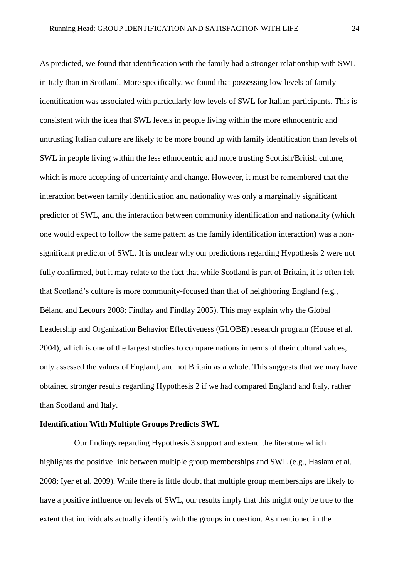As predicted, we found that identification with the family had a stronger relationship with SWL in Italy than in Scotland. More specifically, we found that possessing low levels of family identification was associated with particularly low levels of SWL for Italian participants. This is consistent with the idea that SWL levels in people living within the more ethnocentric and untrusting Italian culture are likely to be more bound up with family identification than levels of SWL in people living within the less ethnocentric and more trusting Scottish/British culture, which is more accepting of uncertainty and change. However, it must be remembered that the interaction between family identification and nationality was only a marginally significant predictor of SWL, and the interaction between community identification and nationality (which one would expect to follow the same pattern as the family identification interaction) was a nonsignificant predictor of SWL. It is unclear why our predictions regarding Hypothesis 2 were not fully confirmed, but it may relate to the fact that while Scotland is part of Britain, it is often felt that Scotland's culture is more community-focused than that of neighboring England (e.g., Béland and Lecours 2008; Findlay and Findlay 2005). This may explain why the Global Leadership and Organization Behavior Effectiveness (GLOBE) research program (House et al. 2004), which is one of the largest studies to compare nations in terms of their cultural values, only assessed the values of England, and not Britain as a whole. This suggests that we may have obtained stronger results regarding Hypothesis 2 if we had compared England and Italy, rather than Scotland and Italy.

# **Identification With Multiple Groups Predicts SWL**

Our findings regarding Hypothesis 3 support and extend the literature which highlights the positive link between multiple group memberships and SWL (e.g., Haslam et al. 2008; Iyer et al. 2009). While there is little doubt that multiple group memberships are likely to have a positive influence on levels of SWL, our results imply that this might only be true to the extent that individuals actually identify with the groups in question. As mentioned in the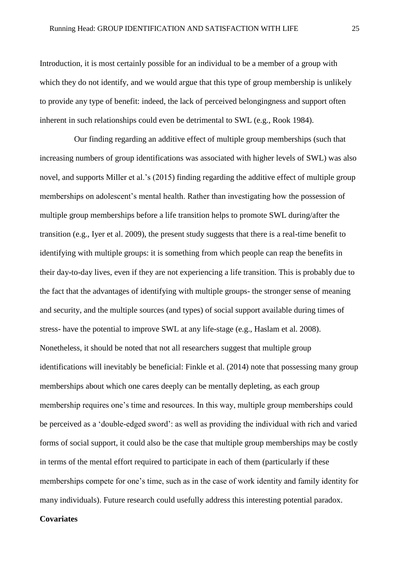Introduction, it is most certainly possible for an individual to be a member of a group with which they do not identify, and we would argue that this type of group membership is unlikely to provide any type of benefit: indeed, the lack of perceived belongingness and support often inherent in such relationships could even be detrimental to SWL (e.g., Rook 1984).

Our finding regarding an additive effect of multiple group memberships (such that increasing numbers of group identifications was associated with higher levels of SWL) was also novel, and supports Miller et al.'s (2015) finding regarding the additive effect of multiple group memberships on adolescent's mental health. Rather than investigating how the possession of multiple group memberships before a life transition helps to promote SWL during/after the transition (e.g., Iyer et al. 2009), the present study suggests that there is a real-time benefit to identifying with multiple groups: it is something from which people can reap the benefits in their day-to-day lives, even if they are not experiencing a life transition. This is probably due to the fact that the advantages of identifying with multiple groups- the stronger sense of meaning and security, and the multiple sources (and types) of social support available during times of stress- have the potential to improve SWL at any life-stage (e.g., Haslam et al. 2008). Nonetheless, it should be noted that not all researchers suggest that multiple group identifications will inevitably be beneficial: Finkle et al. (2014) note that possessing many group memberships about which one cares deeply can be mentally depleting, as each group membership requires one's time and resources. In this way, multiple group memberships could be perceived as a 'double-edged sword': as well as providing the individual with rich and varied forms of social support, it could also be the case that multiple group memberships may be costly in terms of the mental effort required to participate in each of them (particularly if these memberships compete for one's time, such as in the case of work identity and family identity for many individuals). Future research could usefully address this interesting potential paradox.

# **Covariates**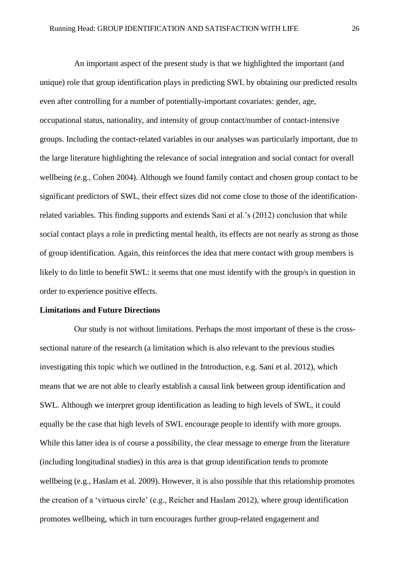An important aspect of the present study is that we highlighted the important (and unique) role that group identification plays in predicting SWL by obtaining our predicted results even after controlling for a number of potentially-important covariates: gender, age, occupational status, nationality, and intensity of group contact/number of contact-intensive groups. Including the contact-related variables in our analyses was particularly important, due to the large literature highlighting the relevance of social integration and social contact for overall wellbeing (e.g., Cohen 2004). Although we found family contact and chosen group contact to be significant predictors of SWL, their effect sizes did not come close to those of the identificationrelated variables. This finding supports and extends Sani et al.'s (2012) conclusion that while social contact plays a role in predicting mental health, its effects are not nearly as strong as those of group identification. Again, this reinforces the idea that mere contact with group members is likely to do little to benefit SWL: it seems that one must identify with the group/s in question in order to experience positive effects.

#### **Limitations and Future Directions**

Our study is not without limitations. Perhaps the most important of these is the crosssectional nature of the research (a limitation which is also relevant to the previous studies investigating this topic which we outlined in the Introduction, e.g. Sani et al. 2012), which means that we are not able to clearly establish a causal link between group identification and SWL. Although we interpret group identification as leading to high levels of SWL, it could equally be the case that high levels of SWL encourage people to identify with more groups. While this latter idea is of course a possibility, the clear message to emerge from the literature (including longitudinal studies) in this area is that group identification tends to promote wellbeing (e.g., Haslam et al. 2009). However, it is also possible that this relationship promotes the creation of a 'virtuous circle' (e.g., Reicher and Haslam 2012), where group identification promotes wellbeing, which in turn encourages further group-related engagement and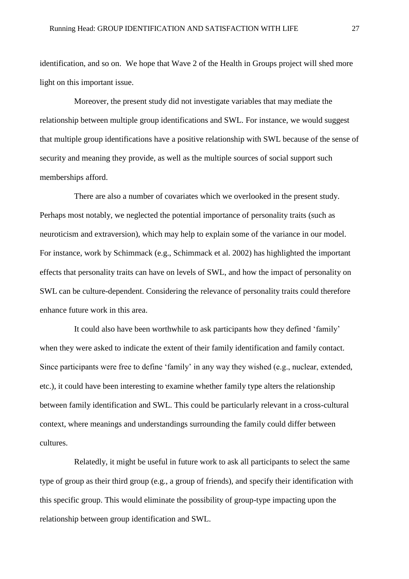identification, and so on. We hope that Wave 2 of the Health in Groups project will shed more light on this important issue.

Moreover, the present study did not investigate variables that may mediate the relationship between multiple group identifications and SWL. For instance, we would suggest that multiple group identifications have a positive relationship with SWL because of the sense of security and meaning they provide, as well as the multiple sources of social support such memberships afford.

There are also a number of covariates which we overlooked in the present study. Perhaps most notably, we neglected the potential importance of personality traits (such as neuroticism and extraversion), which may help to explain some of the variance in our model. For instance, work by Schimmack (e.g., Schimmack et al. 2002) has highlighted the important effects that personality traits can have on levels of SWL, and how the impact of personality on SWL can be culture-dependent. Considering the relevance of personality traits could therefore enhance future work in this area.

It could also have been worthwhile to ask participants how they defined 'family' when they were asked to indicate the extent of their family identification and family contact. Since participants were free to define 'family' in any way they wished (e.g., nuclear, extended, etc.), it could have been interesting to examine whether family type alters the relationship between family identification and SWL. This could be particularly relevant in a cross-cultural context, where meanings and understandings surrounding the family could differ between cultures.

Relatedly, it might be useful in future work to ask all participants to select the same type of group as their third group (e.g., a group of friends), and specify their identification with this specific group. This would eliminate the possibility of group-type impacting upon the relationship between group identification and SWL.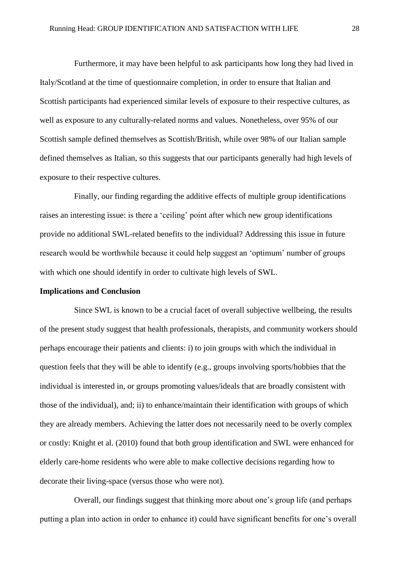Furthermore, it may have been helpful to ask participants how long they had lived in Italy/Scotland at the time of questionnaire completion, in order to ensure that Italian and Scottish participants had experienced similar levels of exposure to their respective cultures, as well as exposure to any culturally-related norms and values. Nonetheless, over 95% of our Scottish sample defined themselves as Scottish/British, while over 98% of our Italian sample defined themselves as Italian, so this suggests that our participants generally had high levels of exposure to their respective cultures.

Finally, our finding regarding the additive effects of multiple group identifications raises an interesting issue: is there a 'ceiling' point after which new group identifications provide no additional SWL-related benefits to the individual? Addressing this issue in future research would be worthwhile because it could help suggest an 'optimum' number of groups with which one should identify in order to cultivate high levels of SWL.

## **Implications and Conclusion**

Since SWL is known to be a crucial facet of overall subjective wellbeing, the results of the present study suggest that health professionals, therapists, and community workers should perhaps encourage their patients and clients: i) to join groups with which the individual in question feels that they will be able to identify (e.g., groups involving sports/hobbies that the individual is interested in, or groups promoting values/ideals that are broadly consistent with those of the individual), and; ii) to enhance/maintain their identification with groups of which they are already members. Achieving the latter does not necessarily need to be overly complex or costly: Knight et al. (2010) found that both group identification and SWL were enhanced for elderly care-home residents who were able to make collective decisions regarding how to decorate their living-space (versus those who were not).

Overall, our findings suggest that thinking more about one's group life (and perhaps putting a plan into action in order to enhance it) could have significant benefits for one's overall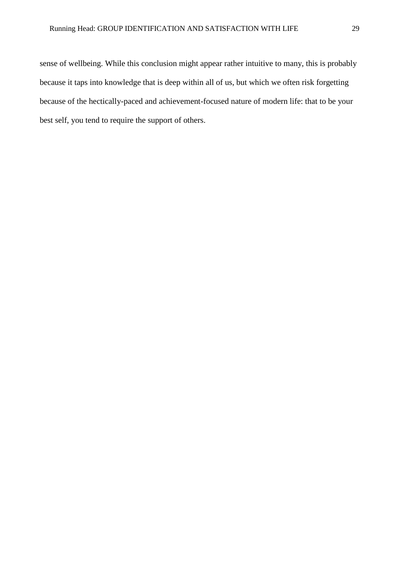sense of wellbeing. While this conclusion might appear rather intuitive to many, this is probably because it taps into knowledge that is deep within all of us, but which we often risk forgetting because of the hectically-paced and achievement-focused nature of modern life: that to be your best self, you tend to require the support of others.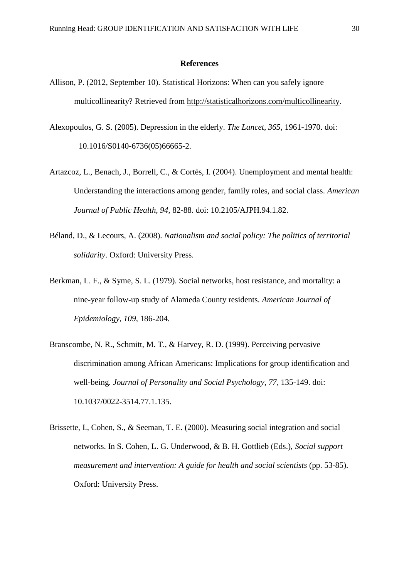#### **References**

- Allison, P. (2012, September 10). Statistical Horizons: When can you safely ignore multicollinearity? Retrieved from [http://statisticalhorizons.com/multicollinearity.](http://statisticalhorizons.com/multicollinearity)
- Alexopoulos, G. S. (2005). Depression in the elderly. *The Lancet, 365*, 1961-1970. doi: [10.1016/S0140-6736\(05\)66665-2.](http://dx.doi.org/10.1016/S0140-6736(05)66665-2)
- Artazcoz, L., Benach, J., Borrell, C., & Cortès, I. (2004). Unemployment and mental health: Understanding the interactions among gender, family roles, and social class. *American Journal of Public Health, 94*, 82-88. doi: 10.2105/AJPH.94.1.82.
- Béland, D., & Lecours, A. (2008). *Nationalism and social policy: The politics of territorial solidarity*. Oxford: University Press.
- Berkman, L. F., & Syme, S. L. (1979). Social networks, host resistance, and mortality: a nine-year follow-up study of Alameda County residents. *American Journal of Epidemiology*, *109*, 186-204.
- Branscombe, N. R., Schmitt, M. T., & Harvey, R. D. (1999). Perceiving pervasive discrimination among African Americans: Implications for group identification and well-being*. Journal of Personality and Social Psychology, 77*, 135-149. doi: 10.1037/0022-3514.77.1.135.
- Brissette, I., Cohen, S., & Seeman, T. E. (2000). Measuring social integration and social networks. In S. Cohen, L. G. Underwood, & B. H. Gottlieb (Eds.), *Social support measurement and intervention: A guide for health and social scientists* (pp. 53-85). Oxford: University Press.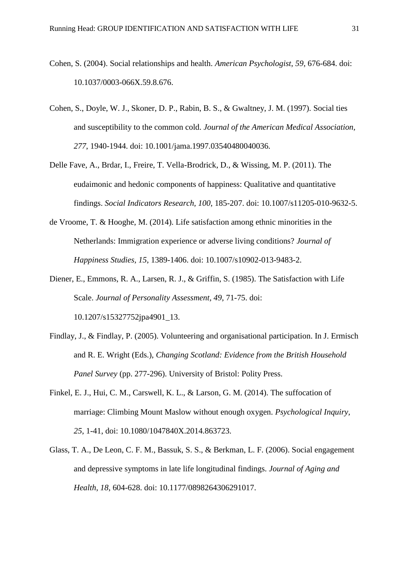- Cohen, S. (2004). Social relationships and health. *American Psychologist*, *59*, 676-684. doi: 10.1037/0003-066X.59.8.676.
- Cohen, S., Doyle, W. J., Skoner, D. P., Rabin, B. S., & Gwaltney, J. M. (1997). Social ties and susceptibility to the common cold. *Journal of the American Medical Association, 277*, 1940-1944. doi: 10.1001/jama.1997.03540480040036.
- Delle Fave, A., Brdar, I., Freire, T. Vella-Brodrick, D., & Wissing, M. P. (2011). The eudaimonic and hedonic components of happiness: Qualitative and quantitative findings. *Social Indicators Research, 100*, 185-207. doi: 10.1007/s11205-010-9632-5.
- de Vroome, T. & Hooghe, M. (2014). Life satisfaction among ethnic minorities in the Netherlands: Immigration experience or adverse living conditions? *Journal of Happiness Studies, 15*, 1389-1406. doi: 10.1007/s10902-013-9483-2.
- Diener, E., Emmons, R. A., Larsen, R. J., & Griffin, S. (1985). The Satisfaction with Life Scale. *Journal of Personality Assessment, 49*, 71-75. doi: 10.1207/s15327752jpa4901\_13.
- Findlay, J., & Findlay, P. (2005). Volunteering and organisational participation. In J. Ermisch and R. E. Wright (Eds.), *Changing Scotland: Evidence from the British Household Panel Survey* (pp. 277-296). University of Bristol: Polity Press.
- Finkel, E. J., Hui, C. M., Carswell, K. L., & Larson, G. M. (2014). The suffocation of marriage: Climbing Mount Maslow without enough oxygen. *Psychological Inquiry, 25*, 1-41, doi: 10.1080/1047840X.2014.863723.
- Glass, T. A., De Leon, C. F. M., Bassuk, S. S., & Berkman, L. F. (2006). Social engagement and depressive symptoms in late life longitudinal findings. *Journal of Aging and Health*, *18*, 604-628. doi: 10.1177/0898264306291017.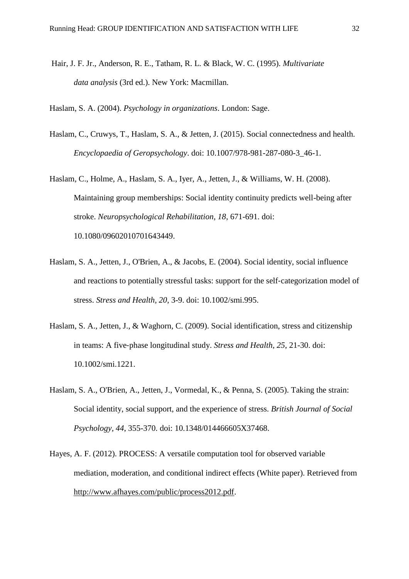- Hair, J. F. Jr., Anderson, R. E., Tatham, R. L. & Black, W. C. (1995). *Multivariate data analysis* (3rd ed.). New York: Macmillan.
- Haslam, S. A. (2004). *Psychology in organizations*. London: Sage.
- Haslam, C., Cruwys, T., Haslam, S. A., & Jetten, J. (2015). Social connectedness and health. *Encyclopaedia of Geropsychology*. doi: 10.1007/978-981-287-080-3\_46-1.
- Haslam, C., Holme, A., Haslam, S. A., Iyer, A., Jetten, J., & Williams, W. H. (2008). Maintaining group memberships: Social identity continuity predicts well-being after stroke. *Neuropsychological Rehabilitation, 18*, 671-691. doi: 10.1080/09602010701643449.
- Haslam, S. A., Jetten, J., O'Brien, A., & Jacobs, E. (2004). Social identity, social influence and reactions to potentially stressful tasks: support for the self‐categorization model of stress. *Stress and Health, 20*, 3-9. doi: 10.1002/smi.995.
- Haslam, S. A., Jetten, J., & Waghorn, C. (2009). Social identification, stress and citizenship in teams: A five‐phase longitudinal study. *Stress and Health, 25*, 21-30. doi: 10.1002/smi.1221.
- Haslam, S. A., O'Brien, A., Jetten, J., Vormedal, K., & Penna, S. (2005). Taking the strain: Social identity, social support, and the experience of stress. *British Journal of Social Psychology, 44*, 355-370. doi: 10.1348/014466605X37468.
- Hayes, A. F. (2012). PROCESS: A versatile computation tool for observed variable mediation, moderation, and conditional indirect effects (White paper). Retrieved from http://www.afhayes.com/public/process2012.pdf.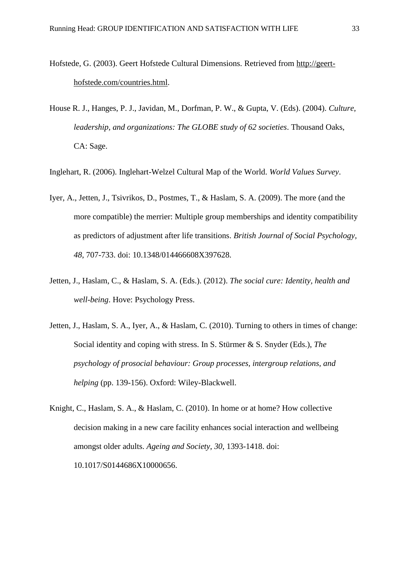- Hofstede, G. (2003). Geert Hofstede Cultural Dimensions. Retrieved from [http://geert](http://geert-hofstede.com/countries.html)[hofstede.com/countries.html.](http://geert-hofstede.com/countries.html)
- House R. J., Hanges, P. J., Javidan, M., Dorfman, P. W., & Gupta, V. (Eds). (2004). *Culture, leadership, and organizations: The GLOBE study of 62 societies*. Thousand Oaks, CA: Sage.
- Inglehart, R. (2006). Inglehart-Welzel Cultural Map of the World. *World Values Survey*.
- Iyer, A., Jetten, J., Tsivrikos, D., Postmes, T., & Haslam, S. A. (2009). The more (and the more compatible) the merrier: Multiple group memberships and identity compatibility as predictors of adjustment after life transitions. *British Journal of Social Psychology, 48*, 707-733. doi: 10.1348/014466608X397628.
- Jetten, J., Haslam, C., & Haslam, S. A. (Eds.). (2012). *The social cure: Identity, health and well-being*. Hove: Psychology Press.
- Jetten, J., Haslam, S. A., Iyer, A., & Haslam, C. (2010). Turning to others in times of change: Social identity and coping with stress. In S. Stürmer & S. Snyder (Eds.), *The psychology of prosocial behaviour: Group processes, intergroup relations, and helping* (pp. 139-156). Oxford: Wiley-Blackwell.
- Knight, C., Haslam, S. A., & Haslam, C. (2010). In home or at home? How collective decision making in a new care facility enhances social interaction and wellbeing amongst older adults. *Ageing and Society, 30*, 1393-1418. doi: 10.1017/S0144686X10000656.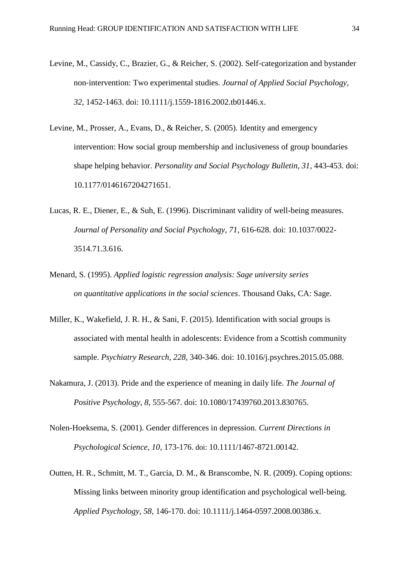- Levine, M., Cassidy, C., Brazier, G., & Reicher, S. (2002). Self‐categorization and bystander non‐intervention: Two experimental studies. *Journal of Applied Social Psychology, 32*, 1452-1463. doi: 10.1111/j.1559-1816.2002.tb01446.x.
- Levine, M., Prosser, A., Evans, D., & Reicher, S. (2005). Identity and emergency intervention: How social group membership and inclusiveness of group boundaries shape helping behavior. *Personality and Social Psychology Bulletin, 31*, 443-453. doi: 10.1177/0146167204271651.
- Lucas, R. E., Diener, E., & Suh, E. (1996). Discriminant validity of well-being measures. *Journal of Personality and Social Psychology, 71*, 616-628. doi: 10.1037/0022- 3514.71.3.616.
- Menard, S. (1995). *Applied logistic regression analysis: Sage university series on quantitative applications in the social sciences*. Thousand Oaks, CA: Sage.
- Miller, K., Wakefield, J. R. H., & Sani, F. (2015). Identification with social groups is associated with mental health in adolescents: Evidence from a Scottish community sample. *Psychiatry Research*, *228*, 340-346. doi: 10.1016/j.psychres.2015.05.088.
- Nakamura, J. (2013). Pride and the experience of meaning in daily life. *The Journal of Positive Psychology, 8*, 555-567. doi: 10.1080/17439760.2013.830765.
- Nolen-Hoeksema, S. (2001). Gender differences in depression. *Current Directions in Psychological Science, 10*, 173-176. doi: 10.1111/1467-8721.00142.
- Outten, H. R., Schmitt, M. T., Garcia, D. M., & Branscombe, N. R. (2009). Coping options: Missing links between minority group identification and psychological well‐being. *Applied Psychology, 58*, 146-170. doi: 10.1111/j.1464-0597.2008.00386.x.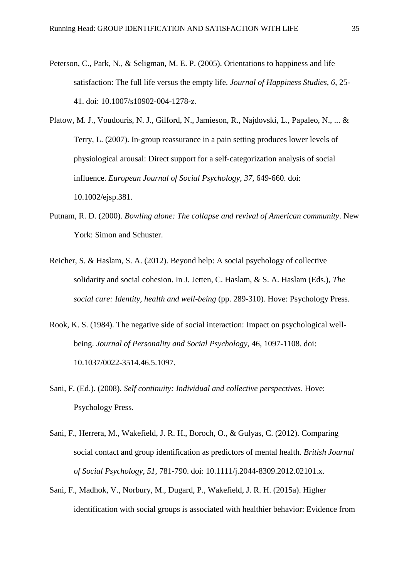- Peterson, C., Park, N., & Seligman, M. E. P. (2005). Orientations to happiness and life satisfaction: The full life versus the empty life. *Journal of Happiness Studies, 6*, 25- 41. doi: 10.1007/s10902-004-1278-z.
- Platow, M. J., Voudouris, N. J., Gilford, N., Jamieson, R., Najdovski, L., Papaleo, N., ... & Terry, L. (2007). In‐group reassurance in a pain setting produces lower levels of physiological arousal: Direct support for a self‐categorization analysis of social influence. *European Journal of Social Psychology*, *37*, 649-660. doi: 10.1002/ejsp.381.
- Putnam, R. D. (2000). *Bowling alone: The collapse and revival of American community*. New York: Simon and Schuster.
- Reicher, S. & Haslam, S. A. (2012). Beyond help: A social psychology of collective solidarity and social cohesion. In J. Jetten, C. Haslam, & S. A. Haslam (Eds.), *The social cure: Identity, health and well-being* (pp. 289-310)*.* Hove: Psychology Press.
- Rook, K. S. (1984). The negative side of social interaction: Impact on psychological wellbeing. *Journal of Personality and Social Psychology*, 46, 1097-1108. doi: 10.1037/0022-3514.46.5.1097.
- Sani, F. (Ed.). (2008). *Self continuity: Individual and collective perspectives*. Hove: Psychology Press.
- Sani, F., Herrera, M., Wakefield, J. R. H., Boroch, O., & Gulyas, C. (2012). Comparing social contact and group identification as predictors of mental health. *British Journal of Social Psychology, 51*, 781-790. doi: 10.1111/j.2044-8309.2012.02101.x.
- Sani, F., Madhok, V., Norbury, M., Dugard, P., Wakefield, J. R. H. (2015a). Higher identification with social groups is associated with healthier behavior: Evidence from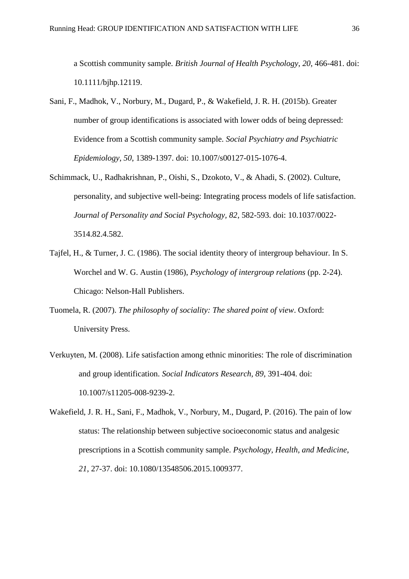a Scottish community sample. *British Journal of Health Psychology*, *20*, 466-481. doi: 10.1111/bjhp.12119.

- Sani, F., Madhok, V., Norbury, M., Dugard, P., & Wakefield, J. R. H. (2015b). Greater number of group identifications is associated with lower odds of being depressed: Evidence from a Scottish community sample. *Social Psychiatry and Psychiatric Epidemiology*, *50*, 1389-1397. doi: 10.1007/s00127-015-1076-4.
- Schimmack, U., Radhakrishnan, P., Oishi, S., Dzokoto, V., & Ahadi, S. (2002). Culture, personality, and subjective well-being: Integrating process models of life satisfaction. *Journal of Personality and Social Psychology, 82*, 582-593. doi: 10.1037/0022- 3514.82.4.582.
- Tajfel, H., & Turner, J. C. (1986). The social identity theory of intergroup behaviour. In S. Worchel and W. G. Austin (1986), *Psychology of intergroup relations* (pp. 2-24). Chicago: Nelson-Hall Publishers.
- Tuomela, R. (2007). *The philosophy of sociality: The shared point of view*. Oxford: University Press.
- Verkuyten, M. (2008). Life satisfaction among ethnic minorities: The role of discrimination and group identification. *Social Indicators Research, 89*, 391-404. doi: 10.1007/s11205-008-9239-2.
- Wakefield, J. R. H., Sani, F., Madhok, V., Norbury, M., Dugard, P. (2016). The pain of low status: The relationship between subjective socioeconomic status and analgesic prescriptions in a Scottish community sample. *Psychology, Health, and Medicine*, *21*, 27-37. doi: 10.1080/13548506.2015.1009377.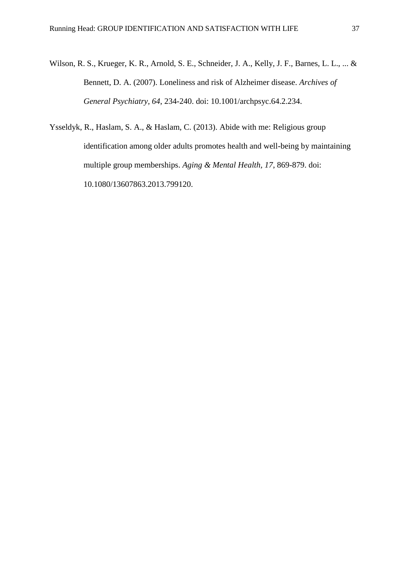- Wilson, R. S., Krueger, K. R., Arnold, S. E., Schneider, J. A., Kelly, J. F., Barnes, L. L., ... & Bennett, D. A. (2007). Loneliness and risk of Alzheimer disease. *Archives of General Psychiatry, 64*, 234-240. doi: 10.1001/archpsyc.64.2.234.
- Ysseldyk, R., Haslam, S. A., & Haslam, C. (2013). Abide with me: Religious group identification among older adults promotes health and well-being by maintaining multiple group memberships. *Aging & Mental Health, 17*, 869-879. doi: 10.1080/13607863.2013.799120.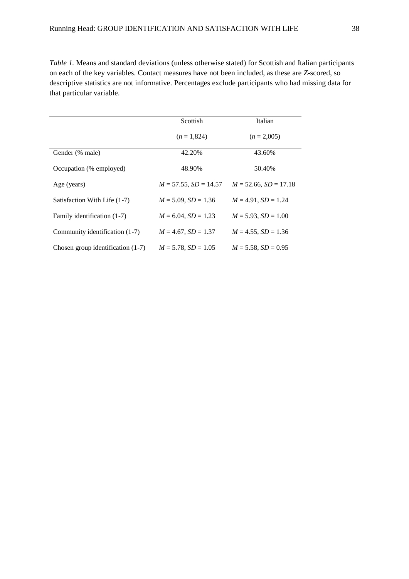*Table 1.* Means and standard deviations (unless otherwise stated) for Scottish and Italian participants on each of the key variables. Contact measures have not been included, as these are *Z*-scored, so descriptive statistics are not informative. Percentages exclude participants who had missing data for that particular variable.

|                                     | Scottish                   | Italian                    |  |  |
|-------------------------------------|----------------------------|----------------------------|--|--|
|                                     | $(n=1,824)$                | $(n = 2,005)$              |  |  |
| Gender (% male)                     | 42.20%                     | 43.60%                     |  |  |
| Occupation (% employed)             | 48.90%                     | 50.40%                     |  |  |
| Age (years)                         | $M = 57.55$ , $SD = 14.57$ | $M = 52.66$ , $SD = 17.18$ |  |  |
| Satisfaction With Life (1-7)        | $M = 5.09$ , $SD = 1.36$   | $M = 4.91$ , $SD = 1.24$   |  |  |
| Family identification (1-7)         | $M = 6.04$ , $SD = 1.23$   | $M = 5.93$ , $SD = 1.00$   |  |  |
| Community identification (1-7)      | $M = 4.67$ , $SD = 1.37$   | $M = 4.55$ , $SD = 1.36$   |  |  |
| Chosen group identification $(1-7)$ | $M = 5.78$ , $SD = 1.05$   | $M = 5.58$ , $SD = 0.95$   |  |  |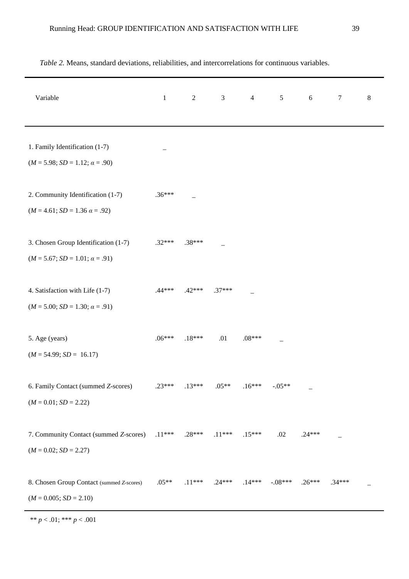| Variable                                                                      | $\mathbf{1}$ | $\overline{2}$    | $\mathfrak{Z}$ | $\overline{4}$ | $\mathfrak{S}$ | $\sqrt{6}$ | $\tau$   | $8\,$ |
|-------------------------------------------------------------------------------|--------------|-------------------|----------------|----------------|----------------|------------|----------|-------|
| 1. Family Identification (1-7)<br>$(M = 5.98; SD = 1.12; \alpha = .90)$       |              |                   |                |                |                |            |          |       |
| 2. Community Identification (1-7)<br>$(M = 4.61; SD = 1.36 \alpha = .92)$     | $.36***$     |                   |                |                |                |            |          |       |
| 3. Chosen Group Identification (1-7)<br>$(M = 5.67; SD = 1.01; \alpha = .91)$ | $.32***$     | $.38***$          |                |                |                |            |          |       |
| 4. Satisfaction with Life (1-7)<br>$(M = 5.00; SD = 1.30; \alpha = .91)$      | .44***       | $.42***$          | $.37***$       |                |                |            |          |       |
| 5. Age (years)<br>$(M = 54.99; SD = 16.17)$                                   | $.06***$     | $.18***$          | .01            | $.08***$       |                |            |          |       |
| 6. Family Contact (summed Z-scores)<br>$(M = 0.01; SD = 2.22)$                | $.23***$     | $.13***$          | $.05**$        | $.16***$       | $-.05**$       |            |          |       |
| 7. Community Contact (summed Z-scores)<br>$(M = 0.02; SD = 2.27)$             |              | $.11***$ $.28***$ | $.11***$       | $.15***$       | .02            | $.24***$   |          |       |
| 8. Chosen Group Contact (summed Z-scores)<br>$(M = 0.005; SD = 2.10)$         | $.05**$      | $.11***$          | $.24***$       | $.14***$       | $-08***$       | $.26***$   | $.34***$ |       |

*Table 2.* Means, standard deviations, reliabilities, and intercorrelations for continuous variables.

\*\* *p* < .01; \*\*\* *p* < .001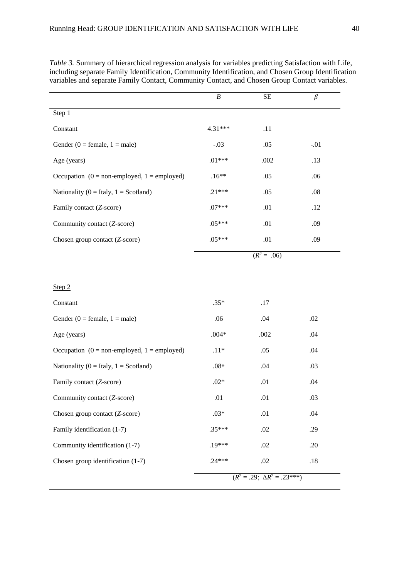|                                               | $\boldsymbol{B}$                       | <b>SE</b> | $\beta$ |  |
|-----------------------------------------------|----------------------------------------|-----------|---------|--|
| Step 1                                        |                                        |           |         |  |
| Constant                                      | 4.31***                                | .11       |         |  |
| Gender (0 = female, $1 = male$ )              | $-.03$                                 | .05       | $-.01$  |  |
| Age (years)                                   | $.01***$                               | .002      | .13     |  |
| Occupation $(0 = non-employed, 1 = employed)$ | $.16**$                                | .05       | .06     |  |
| Nationality ( $0 =$ Italy, $1 =$ Scotland)    | $.21***$                               | .05       | .08     |  |
| Family contact (Z-score)                      | $.07***$                               | .01       | .12     |  |
| Community contact (Z-score)                   | $.05***$                               | .01       | .09     |  |
| Chosen group contact (Z-score)                | $.05***$                               | .01       | .09     |  |
|                                               | $(R^2 = .06)$                          |           |         |  |
|                                               |                                        |           |         |  |
| Step 2                                        |                                        |           |         |  |
| Constant                                      | $.35*$                                 | .17       |         |  |
| Gender (0 = female, $1$ = male)               | .06                                    | .04       | .02     |  |
| Age (years)                                   | $.004*$                                | .002      | .04     |  |
| Occupation $(0 = non-employed, 1 = employed)$ | $.11*$                                 | .05       | .04     |  |
| Nationality ( $0 =$ Italy, $1 =$ Scotland)    | $.08\dagger$                           | .04       | .03     |  |
| Family contact (Z-score)                      | $.02*$                                 | .01       | .04     |  |
| Community contact (Z-score)                   | .01                                    | .01       | .03     |  |
| Chosen group contact (Z-score)                | $.03*$                                 | .01       | .04     |  |
| Family identification (1-7)                   | $.35***$                               | .02       | .29     |  |
| Community identification (1-7)                | .19***                                 | .02       | .20     |  |
| Chosen group identification (1-7)             | $.24***$                               | .02       | .18     |  |
|                                               | $(R^{2} = .29; \Delta R^{2} = .23***)$ |           |         |  |

*Table 3.* Summary of hierarchical regression analysis for variables predicting Satisfaction with Life, including separate Family Identification, Community Identification, and Chosen Group Identification variables and separate Family Contact, Community Contact, and Chosen Group Contact variables.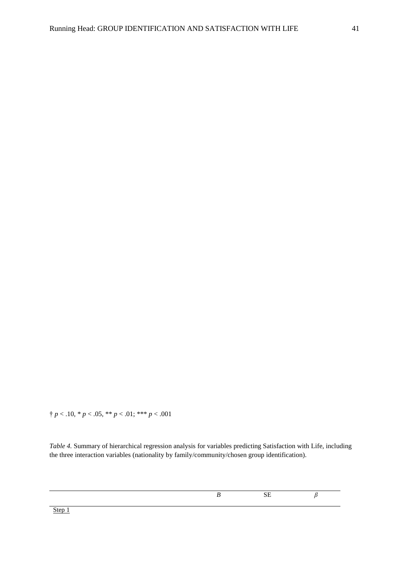$\dagger p < .10, * p < .05, ** p < .01; *** p < .001$ 

*Table 4.* Summary of hierarchical regression analysis for variables predicting Satisfaction with Life, including the three interaction variables (nationality by family/community/chosen group identification).

*B* SE *β*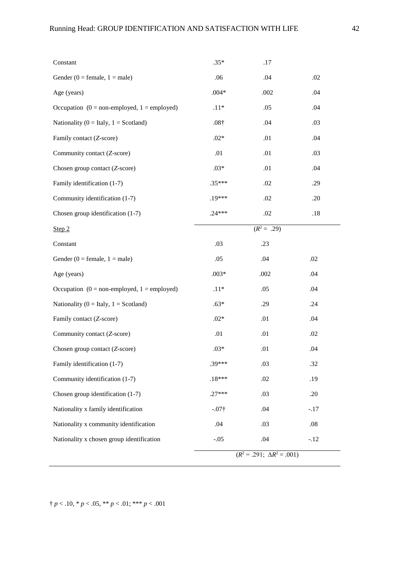| Constant                                      | $.35*$                            | .17  |        |  |
|-----------------------------------------------|-----------------------------------|------|--------|--|
| Gender (0 = female, $1$ = male)               | .06                               | .04  | .02    |  |
| Age (years)                                   | $.004*$                           | .002 | .04    |  |
| Occupation $(0 = non-employed, 1 = employed)$ | $.11*$                            | .05  | .04    |  |
| Nationality ( $0 =$ Italy, $1 =$ Scotland)    | $.08\dagger$                      | .04  | .03    |  |
| Family contact (Z-score)                      | $.02*$                            | .01  | .04    |  |
| Community contact (Z-score)                   | .01                               | .01  | .03    |  |
| Chosen group contact (Z-score)                | $.03*$                            | .01  | .04    |  |
| Family identification (1-7)                   | $.35***$                          | .02  | .29    |  |
| Community identification (1-7)                | $.19***$                          | .02  | .20    |  |
| Chosen group identification (1-7)             | $.24***$                          | .02  | .18    |  |
| Step 2                                        | $(R^2 = .29)$                     |      |        |  |
| Constant                                      | .03                               | .23  |        |  |
| Gender (0 = female, $1$ = male)               | .05                               | .04  | .02    |  |
| Age (years)                                   | $.003*$                           | .002 | .04    |  |
| Occupation $(0 = non-employed, 1 = employed)$ | $.11*$                            | .05  | .04    |  |
| Nationality ( $0 =$ Italy, $1 =$ Scotland)    | $.63*$                            | .29  | .24    |  |
| Family contact (Z-score)                      | $.02*$                            | .01  | .04    |  |
| Community contact (Z-score)                   | .01                               | .01  | .02    |  |
| Chosen group contact (Z-score)                | $.03*$                            | .01  | .04    |  |
| Family identification (1-7)                   | 39***                             | .03  | .32    |  |
| Community identification (1-7)                | $.18***$                          | .02  | .19    |  |
| Chosen group identification (1-7)             | $.27***$                          | .03  | .20    |  |
| Nationality x family identification           | $-.07\dagger$                     | .04  | $-.17$ |  |
| Nationality x community identification        | .04                               | .03  | .08    |  |
| Nationality x chosen group identification     | $-.05$                            | .04  | $-.12$ |  |
|                                               | $(R^2 = .291; \Delta R^2 = .001)$ |      |        |  |

 $\dagger p < .10, * p < .05, ** p < .01; *** p < .001$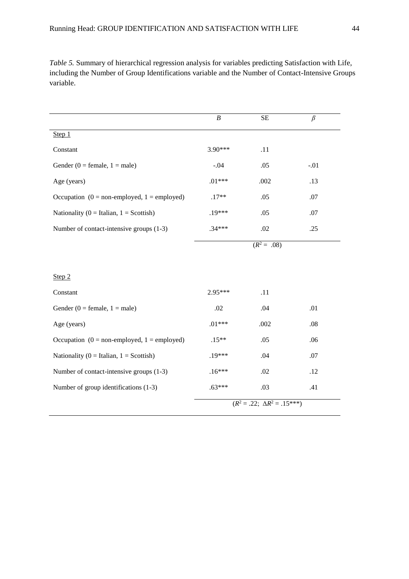*Table 5.* Summary of hierarchical regression analysis for variables predicting Satisfaction with Life, including the Number of Group Identifications variable and the Number of Contact-Intensive Groups variable.

|                                               | $\boldsymbol{B}$                   | SE   | $\beta$ |  |
|-----------------------------------------------|------------------------------------|------|---------|--|
| Step 1                                        |                                    |      |         |  |
| Constant                                      | 3.90***                            | .11  |         |  |
| Gender (0 = female, $1$ = male)               | $-.04$                             | .05  | $-.01$  |  |
| Age (years)                                   | $.01***$                           | .002 | .13     |  |
| Occupation $(0 = non-employed, 1 = employed)$ | $.17**$                            | .05  | .07     |  |
| Nationality ( $0 = Italian, 1 = Scottish$ )   | $.19***$                           | .05  | .07     |  |
| Number of contact-intensive groups (1-3)      | $.34***$                           | .02  | .25     |  |
|                                               | $(R^2 = .08)$                      |      |         |  |
|                                               |                                    |      |         |  |
| Step 2                                        |                                    |      |         |  |
| Constant                                      | 2.95***                            | .11  |         |  |
| Gender (0 = female, $1$ = male)               | .02                                | .04  | .01     |  |
| Age (years)                                   | $.01***$                           | .002 | .08     |  |
| Occupation $(0 = non-employed, 1 = employed)$ | $.15***$                           | .05  | .06     |  |
| Nationality ( $0 =$ Italian, $1 =$ Scottish)  | $.19***$                           | .04  | .07     |  |
| Number of contact-intensive groups (1-3)      | $.16***$                           | .02  | .12     |  |
| Number of group identifications (1-3)         | $.63***$                           | .03  | .41     |  |
|                                               | $(R^2 = .22; \Delta R^2 = .15***)$ |      |         |  |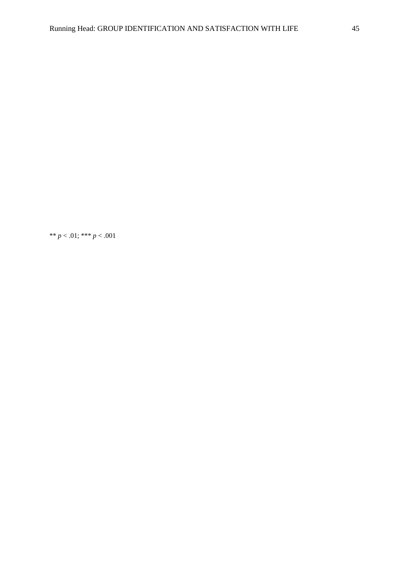\*\* *p* < .01; \*\*\* *p* < .001